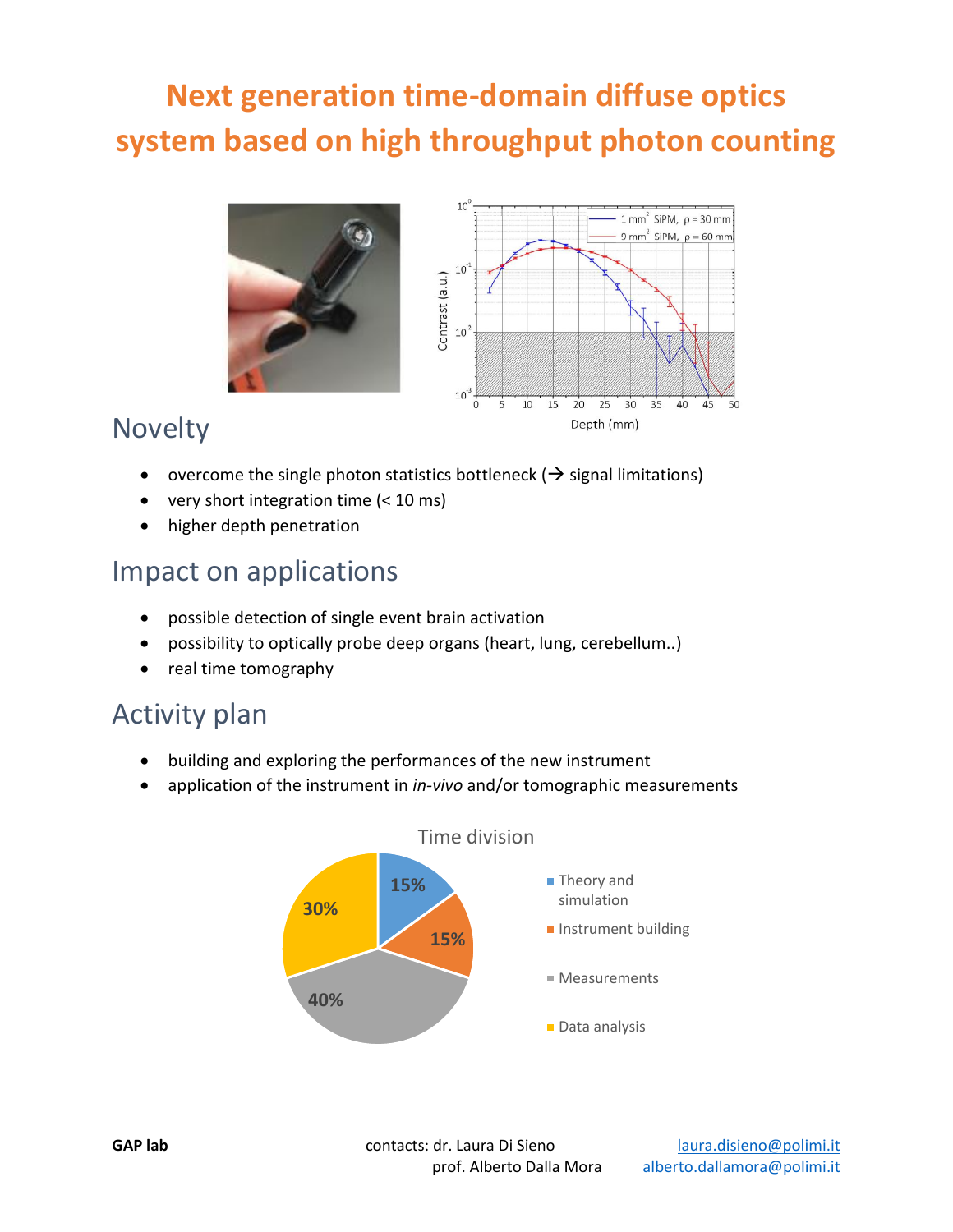## **Next generation time-domain diffuse optics system based on high throughput photon counting**





### Novelty

- overcome the single photon statistics bottleneck ( $\rightarrow$  signal limitations)
- very short integration time  $( $10 \text{ ms}$ )$
- higher depth penetration

#### Impact on applications

- possible detection of single event brain activation
- possibility to optically probe deep organs (heart, lung, cerebellum..)
- real time tomography

### Activity plan

- building and exploring the performances of the new instrument
- application of the instrument in *in-vivo* and/or tomographic measurements